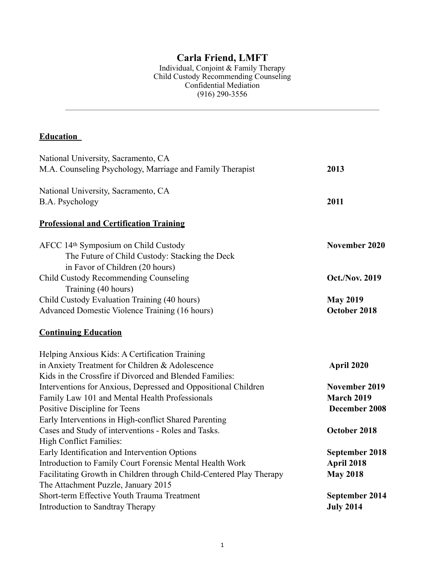## **Carla Friend, LMFT**

Individual, Conjoint & Family Therapy Child Custody Recommending Counseling Confidential Mediation (916) 290-3556

# **Education**

| National University, Sacramento, CA                                 |                       |
|---------------------------------------------------------------------|-----------------------|
| M.A. Counseling Psychology, Marriage and Family Therapist           | 2013                  |
| National University, Sacramento, CA                                 |                       |
| B.A. Psychology                                                     | 2011                  |
| <b>Professional and Certification Training</b>                      |                       |
| AFCC 14th Symposium on Child Custody                                | November 2020         |
| The Future of Child Custody: Stacking the Deck                      |                       |
| in Favor of Children (20 hours)                                     |                       |
| Child Custody Recommending Counseling                               | <b>Oct./Nov. 2019</b> |
| Training (40 hours)                                                 |                       |
| Child Custody Evaluation Training (40 hours)                        | <b>May 2019</b>       |
| <b>Advanced Domestic Violence Training (16 hours)</b>               | October 2018          |
| <b>Continuing Education</b>                                         |                       |
| Helping Anxious Kids: A Certification Training                      |                       |
| in Anxiety Treatment for Children & Adolescence                     | April 2020            |
| Kids in the Crossfire if Divorced and Blended Families:             |                       |
| Interventions for Anxious, Depressed and Oppositional Children      | November 2019         |
| Family Law 101 and Mental Health Professionals                      | <b>March 2019</b>     |
| Positive Discipline for Teens                                       | December 2008         |
| Early Interventions in High-conflict Shared Parenting               |                       |
| Cases and Study of interventions - Roles and Tasks.                 | October 2018          |
| <b>High Conflict Families:</b>                                      |                       |
| Early Identification and Intervention Options                       | September 2018        |
| Introduction to Family Court Forensic Mental Health Work            | April 2018            |
| Facilitating Growth in Children through Child-Centered Play Therapy | <b>May 2018</b>       |
| The Attachment Puzzle, January 2015                                 |                       |
| Short-term Effective Youth Trauma Treatment                         | September 2014        |
| Introduction to Sandtray Therapy                                    | <b>July 2014</b>      |
|                                                                     |                       |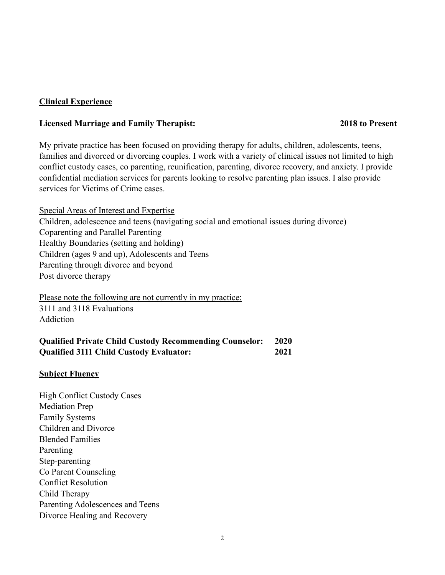### **Clinical Experience**

#### **Licensed Marriage and Family Therapist: 2018 to Present**

My private practice has been focused on providing therapy for adults, children, adolescents, teens, families and divorced or divorcing couples. I work with a variety of clinical issues not limited to high conflict custody cases, co parenting, reunification, parenting, divorce recovery, and anxiety. I provide confidential mediation services for parents looking to resolve parenting plan issues. I also provide services for Victims of Crime cases.

Special Areas of Interest and Expertise Children, adolescence and teens (navigating social and emotional issues during divorce) Coparenting and Parallel Parenting Healthy Boundaries (setting and holding) Children (ages 9 and up), Adolescents and Teens Parenting through divorce and beyond Post divorce therapy

Please note the following are not currently in my practice: 3111 and 3118 Evaluations Addiction

| <b>Qualified Private Child Custody Recommending Counselor:</b> | <b>2020</b> |
|----------------------------------------------------------------|-------------|
| <b>Qualified 3111 Child Custody Evaluator:</b>                 | 2021        |

## **Subject Fluency**

High Conflict Custody Cases Mediation Prep Family Systems Children and Divorce Blended Families Parenting Step-parenting Co Parent Counseling Conflict Resolution Child Therapy Parenting Adolescences and Teens Divorce Healing and Recovery